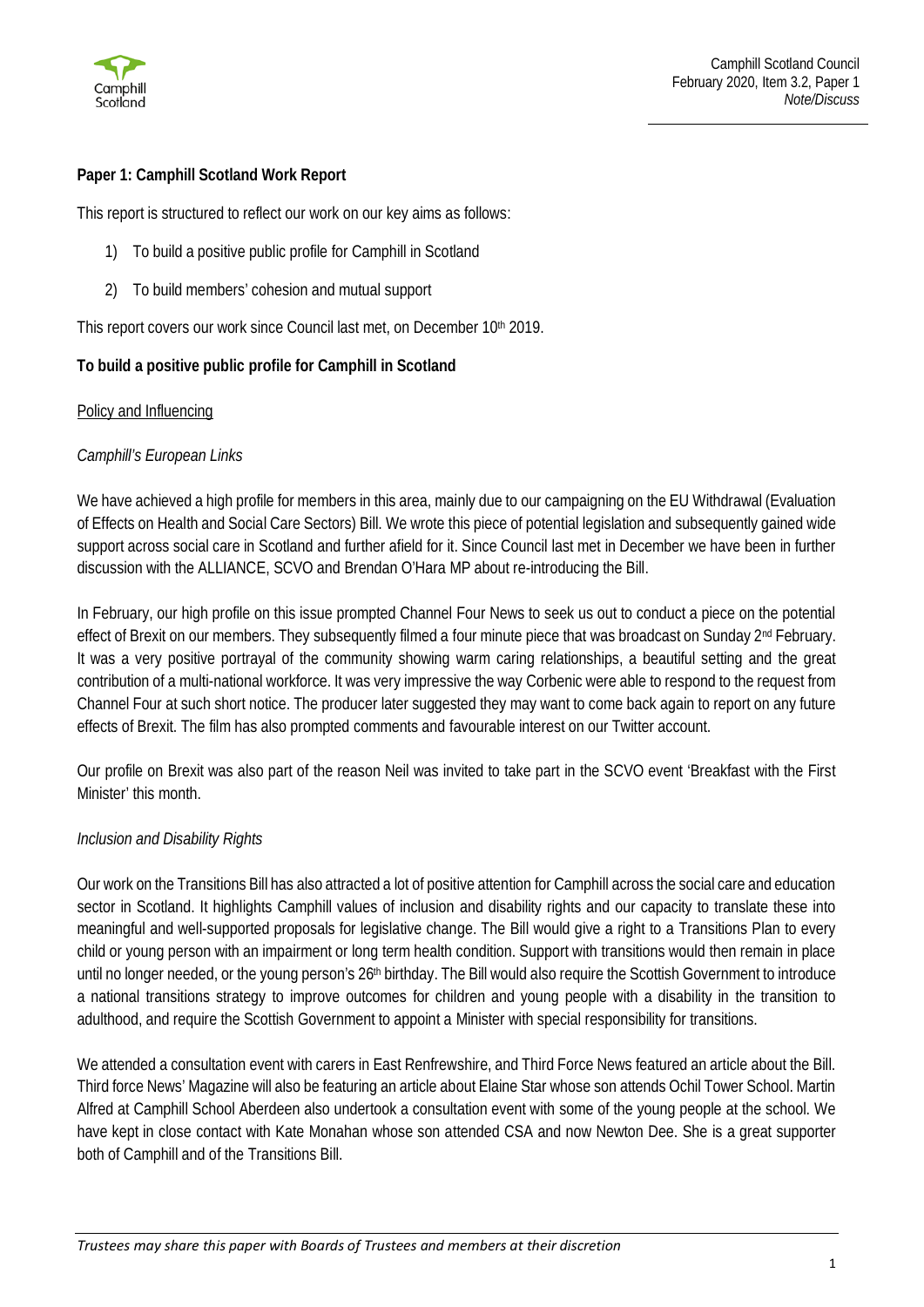

# **Paper 1: Camphill Scotland Work Report**

This report is structured to reflect our work on our key aims as follows:

- 1) To build a positive public profile for Camphill in Scotland
- 2) To build members' cohesion and mutual support

This report covers our work since Council last met, on December 10<sup>th</sup> 2019.

### **To build a positive public profile for Camphill in Scotland**

#### Policy and Influencing

#### *Camphill's European Links*

We have achieved a high profile for members in this area, mainly due to our campaigning on the EU Withdrawal (Evaluation of Effects on Health and Social Care Sectors) Bill. We wrote this piece of potential legislation and subsequently gained wide support across social care in Scotland and further afield for it. Since Council last met in December we have been in further discussion with the ALLIANCE, SCVO and Brendan O'Hara MP about re-introducing the Bill.

In February, our high profile on this issue prompted Channel Four News to seek us out to conduct a piece on the potential effect of Brexit on our members. They subsequently filmed a four minute piece that was broadcast on Sunday 2<sup>nd</sup> February. It was a very positive portrayal of the community showing warm caring relationships, a beautiful setting and the great contribution of a multi-national workforce. It was very impressive the way Corbenic were able to respond to the request from Channel Four at such short notice. The producer later suggested they may want to come back again to report on any future effects of Brexit. The film has also prompted comments and favourable interest on our Twitter account.

Our profile on Brexit was also part of the reason Neil was invited to take part in the SCVO event 'Breakfast with the First Minister' this month.

#### *Inclusion and Disability Rights*

Our work on the Transitions Bill has also attracted a lot of positive attention for Camphill across the social care and education sector in Scotland. It highlights Camphill values of inclusion and disability rights and our capacity to translate these into meaningful and well-supported proposals for legislative change. The Bill would give a right to a Transitions Plan to every child or young person with an impairment or long term health condition. Support with transitions would then remain in place until no longer needed, or the young person's 26<sup>th</sup> birthday. The Bill would also require the Scottish Government to introduce a national transitions strategy to improve outcomes for children and young people with a disability in the transition to adulthood, and require the Scottish Government to appoint a Minister with special responsibility for transitions.

We attended a consultation event with carers in East Renfrewshire, and Third Force News featured an article about the Bill. Third force News' Magazine will also be featuring an article about Elaine Star whose son attends Ochil Tower School. Martin Alfred at Camphill School Aberdeen also undertook a consultation event with some of the young people at the school. We have kept in close contact with Kate Monahan whose son attended CSA and now Newton Dee. She is a great supporter both of Camphill and of the Transitions Bill.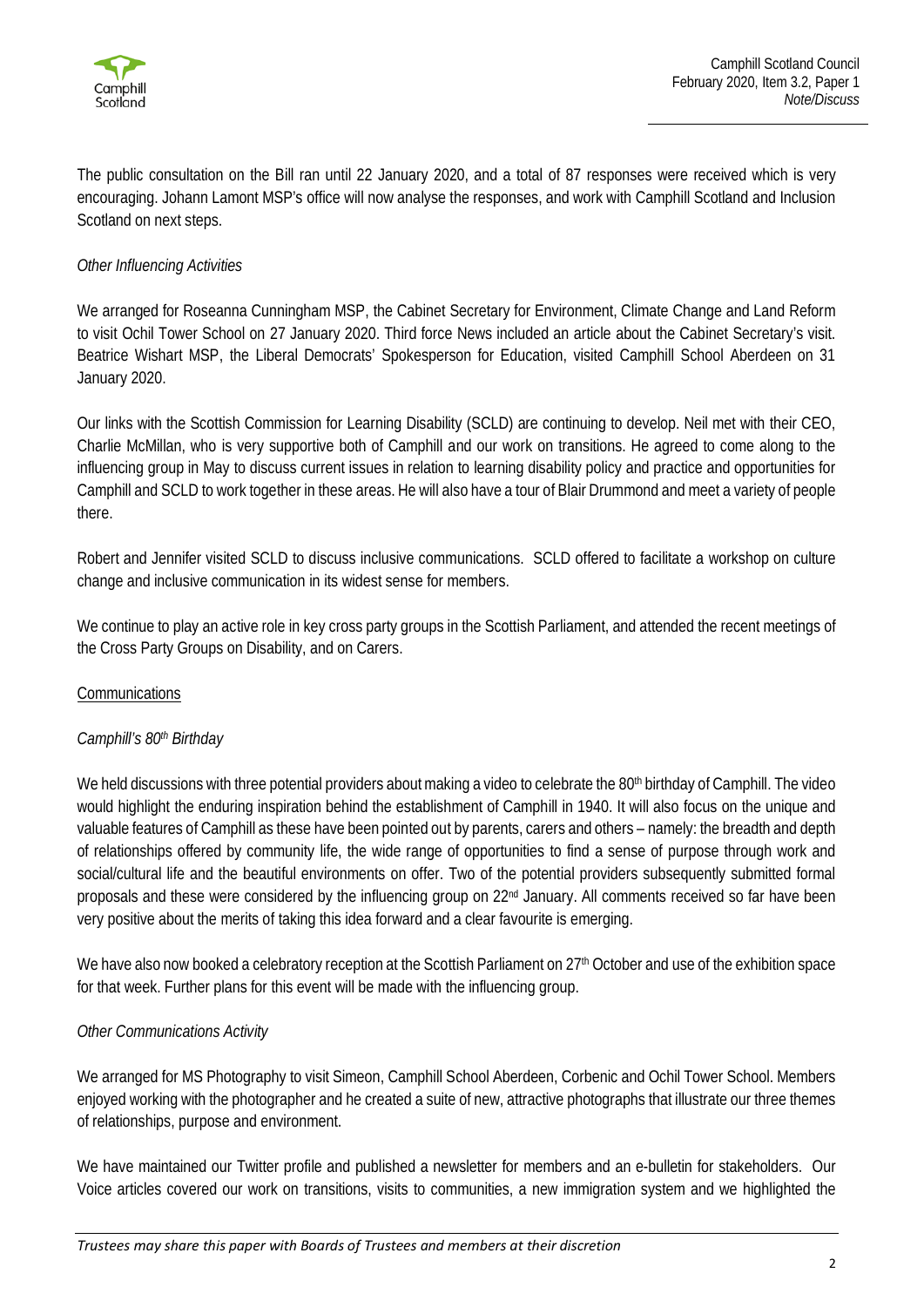

The public consultation on the Bill ran until 22 January 2020, and a total of 87 responses were received which is very encouraging. Johann Lamont MSP's office will now analyse the responses, and work with Camphill Scotland and Inclusion Scotland on next steps.

### *Other Influencing Activities*

We arranged for Roseanna Cunningham MSP, the Cabinet Secretary for Environment, Climate Change and Land Reform to visit Ochil Tower School on 27 January 2020. Third force News included an article about the Cabinet Secretary's visit. Beatrice Wishart MSP, the Liberal Democrats' Spokesperson for Education, visited Camphill School Aberdeen on 31 January 2020.

Our links with the Scottish Commission for Learning Disability (SCLD) are continuing to develop. Neil met with their CEO, Charlie McMillan, who is very supportive both of Camphill and our work on transitions. He agreed to come along to the influencing group in May to discuss current issues in relation to learning disability policy and practice and opportunities for Camphill and SCLD to work together in these areas. He will also have a tour of Blair Drummond and meet a variety of people there.

Robert and Jennifer visited SCLD to discuss inclusive communications. SCLD offered to facilitate a workshop on culture change and inclusive communication in its widest sense for members.

We continue to play an active role in key cross party groups in the Scottish Parliament, and attended the recent meetings of the Cross Party Groups on Disability, and on Carers.

#### **Communications**

#### *Camphill's 80th Birthday*

We held discussions with three potential providers about making a video to celebrate the 80<sup>th</sup> birthday of Camphill. The video would highlight the enduring inspiration behind the establishment of Camphill in 1940. It will also focus on the unique and valuable features of Camphill as these have been pointed out by parents, carers and others – namely: the breadth and depth of relationships offered by community life, the wide range of opportunities to find a sense of purpose through work and social/cultural life and the beautiful environments on offer. Two of the potential providers subsequently submitted formal proposals and these were considered by the influencing group on 22<sup>nd</sup> January. All comments received so far have been very positive about the merits of taking this idea forward and a clear favourite is emerging.

We have also now booked a celebratory reception at the Scottish Parliament on 27<sup>th</sup> October and use of the exhibition space for that week. Further plans for this event will be made with the influencing group.

#### *Other Communications Activity*

We arranged for MS Photography to visit Simeon, Camphill School Aberdeen, Corbenic and Ochil Tower School. Members enjoyed working with the photographer and he created a suite of new, attractive photographs that illustrate our three themes of relationships, purpose and environment.

We have maintained our Twitter profile and published a newsletter for members and an e-bulletin for stakeholders. Our Voice articles covered our work on transitions, visits to communities, a new immigration system and we highlighted the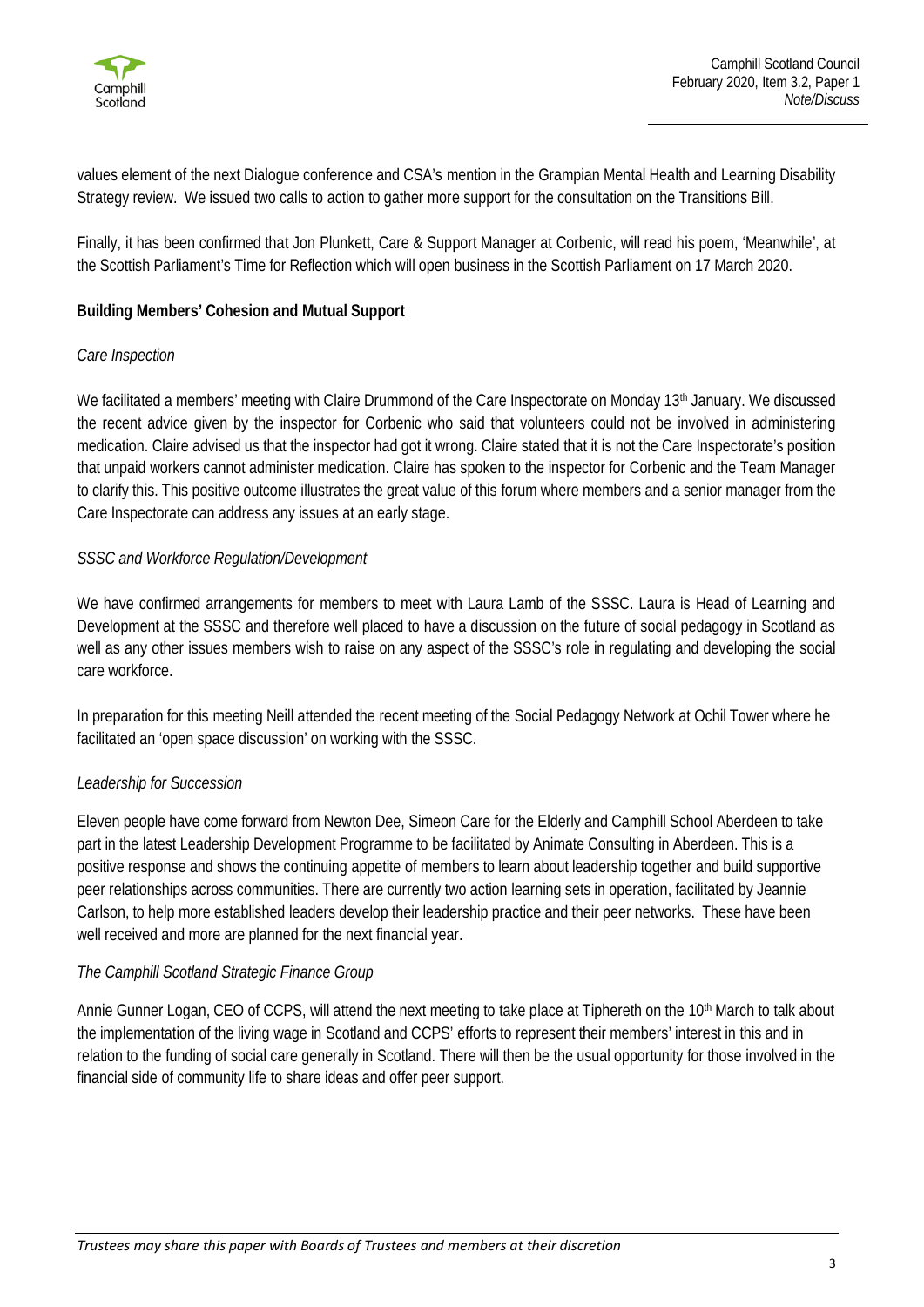

values element of the next Dialogue conference and CSA's mention in the Grampian Mental Health and Learning Disability Strategy review. We issued two calls to action to gather more support for the consultation on the Transitions Bill.

Finally, it has been confirmed that Jon Plunkett, Care & Support Manager at Corbenic, will read his poem, 'Meanwhile', at the Scottish Parliament's Time for Reflection which will open business in the Scottish Parliament on 17 March 2020.

### **Building Members' Cohesion and Mutual Support**

#### *Care Inspection*

We facilitated a members' meeting with Claire Drummond of the Care Inspectorate on Monday 13<sup>th</sup> January. We discussed the recent advice given by the inspector for Corbenic who said that volunteers could not be involved in administering medication. Claire advised us that the inspector had got it wrong. Claire stated that it is not the Care Inspectorate's position that unpaid workers cannot administer medication. Claire has spoken to the inspector for Corbenic and the Team Manager to clarify this. This positive outcome illustrates the great value of this forum where members and a senior manager from the Care Inspectorate can address any issues at an early stage.

#### *SSSC and Workforce Regulation/Development*

We have confirmed arrangements for members to meet with Laura Lamb of the SSSC. Laura is Head of Learning and Development at the SSSC and therefore well placed to have a discussion on the future of social pedagogy in Scotland as well as any other issues members wish to raise on any aspect of the SSSC's role in regulating and developing the social care workforce.

In preparation for this meeting Neill attended the recent meeting of the Social Pedagogy Network at Ochil Tower where he facilitated an 'open space discussion' on working with the SSSC.

#### *Leadership for Succession*

Eleven people have come forward from Newton Dee, Simeon Care for the Elderly and Camphill School Aberdeen to take part in the latest Leadership Development Programme to be facilitated by Animate Consulting in Aberdeen. This is a positive response and shows the continuing appetite of members to learn about leadership together and build supportive peer relationships across communities. There are currently two action learning sets in operation, facilitated by Jeannie Carlson, to help more established leaders develop their leadership practice and their peer networks. These have been well received and more are planned for the next financial year.

#### *The Camphill Scotland Strategic Finance Group*

Annie Gunner Logan, CEO of CCPS, will attend the next meeting to take place at Tiphereth on the 10<sup>th</sup> March to talk about the implementation of the living wage in Scotland and CCPS' efforts to represent their members' interest in this and in relation to the funding of social care generally in Scotland. There will then be the usual opportunity for those involved in the financial side of community life to share ideas and offer peer support.